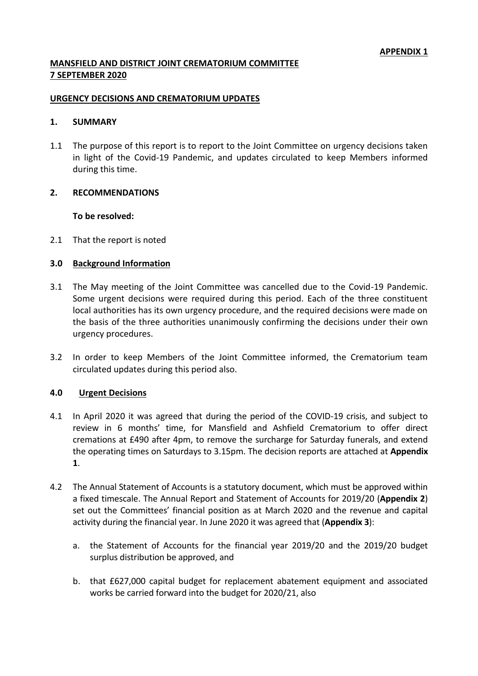# **MANSFIELD AND DISTRICT JOINT CREMATORIUM COMMITTEE 7 SEPTEMBER 2020**

### **URGENCY DECISIONS AND CREMATORIUM UPDATES**

### **1. SUMMARY**

1.1 The purpose of this report is to report to the Joint Committee on urgency decisions taken in light of the Covid-19 Pandemic, and updates circulated to keep Members informed during this time.

## **2. RECOMMENDATIONS**

### **To be resolved:**

2.1 That the report is noted

## **3.0 Background Information**

- 3.1 The May meeting of the Joint Committee was cancelled due to the Covid-19 Pandemic. Some urgent decisions were required during this period. Each of the three constituent local authorities has its own urgency procedure, and the required decisions were made on the basis of the three authorities unanimously confirming the decisions under their own urgency procedures.
- 3.2 In order to keep Members of the Joint Committee informed, the Crematorium team circulated updates during this period also.

## **4.0 Urgent Decisions**

- 4.1 In April 2020 it was agreed that during the period of the COVID-19 crisis, and subject to review in 6 months' time, for Mansfield and Ashfield Crematorium to offer direct cremations at £490 after 4pm, to remove the surcharge for Saturday funerals, and extend the operating times on Saturdays to 3.15pm. The decision reports are attached at **Appendix 1**.
- 4.2 The Annual Statement of Accounts is a statutory document, which must be approved within a fixed timescale. The Annual Report and Statement of Accounts for 2019/20 (**Appendix 2**) set out the Committees' financial position as at March 2020 and the revenue and capital activity during the financial year. In June 2020 it was agreed that (**Appendix 3**):
	- a. the Statement of Accounts for the financial year 2019/20 and the 2019/20 budget surplus distribution be approved, and
	- b. that £627,000 capital budget for replacement abatement equipment and associated works be carried forward into the budget for 2020/21, also